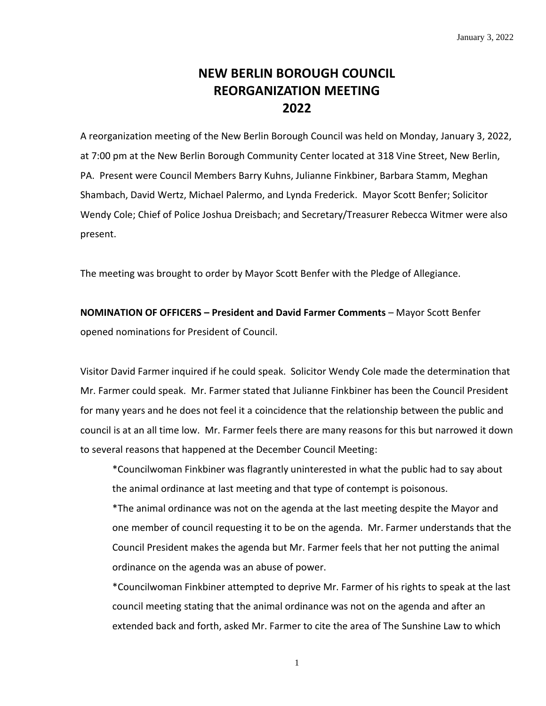# **NEW BERLIN BOROUGH COUNCIL REORGANIZATION MEETING 2022**

A reorganization meeting of the New Berlin Borough Council was held on Monday, January 3, 2022, at 7:00 pm at the New Berlin Borough Community Center located at 318 Vine Street, New Berlin, PA. Present were Council Members Barry Kuhns, Julianne Finkbiner, Barbara Stamm, Meghan Shambach, David Wertz, Michael Palermo, and Lynda Frederick. Mayor Scott Benfer; Solicitor Wendy Cole; Chief of Police Joshua Dreisbach; and Secretary/Treasurer Rebecca Witmer were also present.

The meeting was brought to order by Mayor Scott Benfer with the Pledge of Allegiance.

**NOMINATION OF OFFICERS – President and David Farmer Comments** – Mayor Scott Benfer opened nominations for President of Council.

Visitor David Farmer inquired if he could speak. Solicitor Wendy Cole made the determination that Mr. Farmer could speak. Mr. Farmer stated that Julianne Finkbiner has been the Council President for many years and he does not feel it a coincidence that the relationship between the public and council is at an all time low. Mr. Farmer feels there are many reasons for this but narrowed it down to several reasons that happened at the December Council Meeting:

\*Councilwoman Finkbiner was flagrantly uninterested in what the public had to say about the animal ordinance at last meeting and that type of contempt is poisonous.

\*The animal ordinance was not on the agenda at the last meeting despite the Mayor and one member of council requesting it to be on the agenda. Mr. Farmer understands that the Council President makes the agenda but Mr. Farmer feels that her not putting the animal ordinance on the agenda was an abuse of power.

\*Councilwoman Finkbiner attempted to deprive Mr. Farmer of his rights to speak at the last council meeting stating that the animal ordinance was not on the agenda and after an extended back and forth, asked Mr. Farmer to cite the area of The Sunshine Law to which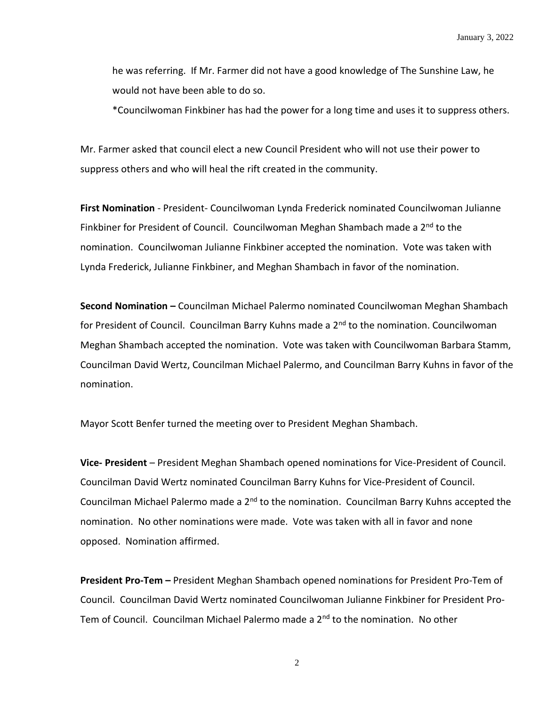he was referring. If Mr. Farmer did not have a good knowledge of The Sunshine Law, he would not have been able to do so.

\*Councilwoman Finkbiner has had the power for a long time and uses it to suppress others.

Mr. Farmer asked that council elect a new Council President who will not use their power to suppress others and who will heal the rift created in the community.

**First Nomination** - President- Councilwoman Lynda Frederick nominated Councilwoman Julianne Finkbiner for President of Council. Councilwoman Meghan Shambach made a 2<sup>nd</sup> to the nomination. Councilwoman Julianne Finkbiner accepted the nomination. Vote was taken with Lynda Frederick, Julianne Finkbiner, and Meghan Shambach in favor of the nomination.

**Second Nomination –** Councilman Michael Palermo nominated Councilwoman Meghan Shambach for President of Council. Councilman Barry Kuhns made a 2<sup>nd</sup> to the nomination. Councilwoman Meghan Shambach accepted the nomination. Vote was taken with Councilwoman Barbara Stamm, Councilman David Wertz, Councilman Michael Palermo, and Councilman Barry Kuhns in favor of the nomination.

Mayor Scott Benfer turned the meeting over to President Meghan Shambach.

**Vice- President** – President Meghan Shambach opened nominations for Vice-President of Council. Councilman David Wertz nominated Councilman Barry Kuhns for Vice-President of Council. Councilman Michael Palermo made a 2<sup>nd</sup> to the nomination. Councilman Barry Kuhns accepted the nomination. No other nominations were made. Vote was taken with all in favor and none opposed. Nomination affirmed.

**President Pro-Tem –** President Meghan Shambach opened nominations for President Pro-Tem of Council. Councilman David Wertz nominated Councilwoman Julianne Finkbiner for President Pro-Tem of Council. Councilman Michael Palermo made a 2<sup>nd</sup> to the nomination. No other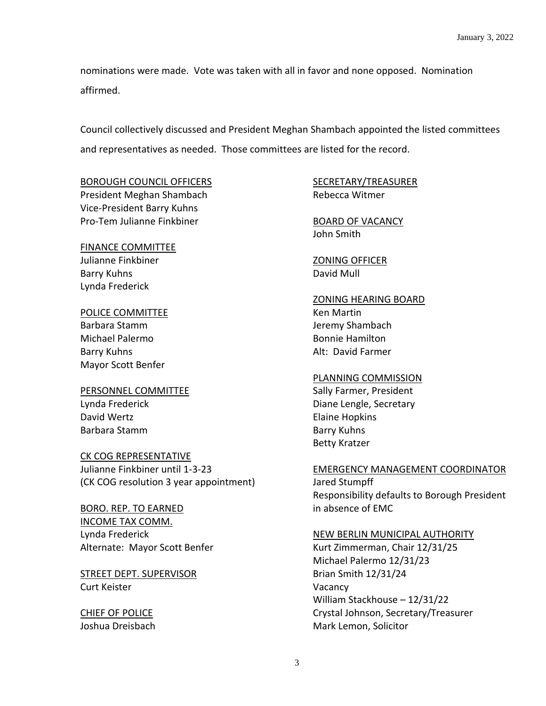nominations were made. Vote was taken with all in favor and none opposed. Nomination affirmed.

Council collectively discussed and President Meghan Shambach appointed the listed committees and representatives as needed. Those committees are listed for the record.

#### BOROUGH COUNCIL OFFICERS

President Meghan Shambach Vice-President Barry Kuhns Pro-Tem Julianne Finkbiner

### FINANCE COMMITTEE

Julianne Finkbiner Barry Kuhns Lynda Frederick

### POLICE COMMITTEE

Barbara Stamm Michael Palermo Barry Kuhns Mayor Scott Benfer

#### PERSONNEL COMMITTEE Lynda Frederick David Wertz

Barbara Stamm

### CK COG REPRESENTATIVE

Julianne Finkbiner until 1-3-23 (CK COG resolution 3 year appointment)

BORO. REP. TO EARNED INCOME TAX COMM. Lynda Frederick Alternate: Mayor Scott Benfer

STREET DEPT. SUPERVISOR Curt Keister

CHIEF OF POLICE Joshua Dreisbach

## SECRETARY/TREASURER Rebecca Witmer

BOARD OF VACANCY John Smith

ZONING OFFICER David Mull

## ZONING HEARING BOARD

Ken Martin Jeremy Shambach Bonnie Hamilton Alt: David Farmer

### PLANNING COMMISSION

Sally Farmer, President Diane Lengle, Secretary Elaine Hopkins Barry Kuhns Betty Kratzer

### EMERGENCY MANAGEMENT COORDINATOR

Jared Stumpff Responsibility defaults to Borough President in absence of EMC

## NEW BERLIN MUNICIPAL AUTHORITY

Kurt Zimmerman, Chair 12/31/25 Michael Palermo 12/31/23 Brian Smith 12/31/24 Vacancy William Stackhouse – 12/31/22 Crystal Johnson, Secretary/Treasurer Mark Lemon, Solicitor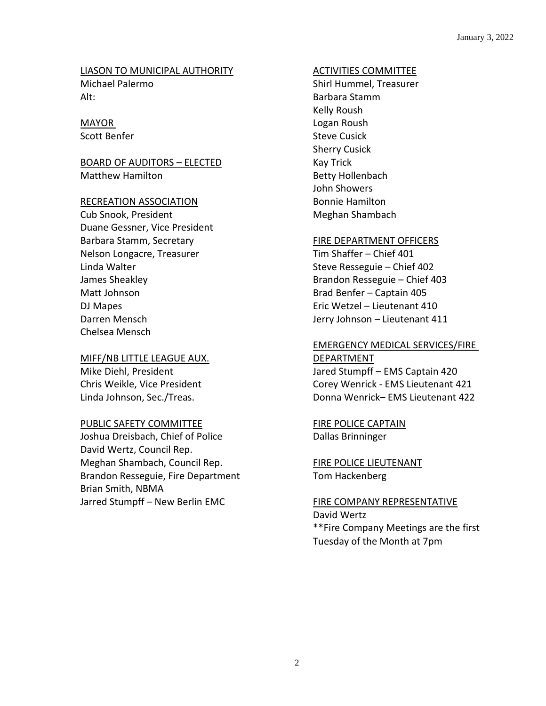#### LIASON TO MUNICIPAL AUTHORITY Michael Palermo

Alt:

## MAYOR

Scott Benfer

## BOARD OF AUDITORS – ELECTED Matthew Hamilton

## RECREATION ASSOCIATION

Cub Snook, President Duane Gessner, Vice President Barbara Stamm, Secretary Nelson Longacre, Treasurer Linda Walter James Sheakley Matt Johnson DJ Mapes Darren Mensch Chelsea Mensch

# MIFF/NB LITTLE LEAGUE AUX.

Mike Diehl, President Chris Weikle, Vice President Linda Johnson, Sec./Treas.

## PUBLIC SAFETY COMMITTEE

Joshua Dreisbach, Chief of Police David Wertz, Council Rep. Meghan Shambach, Council Rep. Brandon Resseguie, Fire Department Brian Smith, NBMA Jarred Stumpff – New Berlin EMC

## ACTIVITIES COMMITTEE

Shirl Hummel, Treasurer Barbara Stamm Kelly Roush Logan Roush Steve Cusick Sherry Cusick Kay Trick Betty Hollenbach John Showers Bonnie Hamilton Meghan Shambach

## FIRE DEPARTMENT OFFICERS

Tim Shaffer – Chief 401 Steve Resseguie – Chief 402 Brandon Resseguie – Chief 403 Brad Benfer – Captain 405 Eric Wetzel – Lieutenant 410 Jerry Johnson – Lieutenant 411

### EMERGENCY MEDICAL SERVICES/FIRE DEPARTMENT

Jared Stumpff – EMS Captain 420 Corey Wenrick - EMS Lieutenant 421 Donna Wenrick– EMS Lieutenant 422

FIRE POLICE CAPTAIN Dallas Brinninger

FIRE POLICE LIEUTENANT Tom Hackenberg

FIRE COMPANY REPRESENTATIVE David Wertz \*\*Fire Company Meetings are the first Tuesday of the Month at 7pm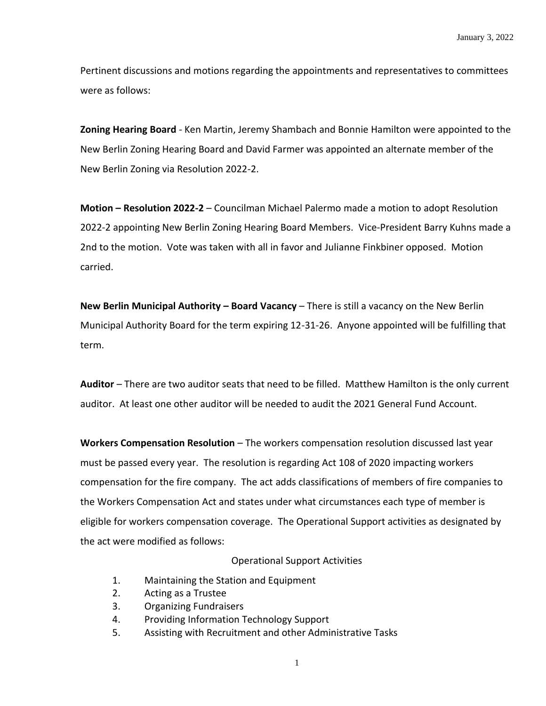Pertinent discussions and motions regarding the appointments and representatives to committees were as follows:

**Zoning Hearing Board** - Ken Martin, Jeremy Shambach and Bonnie Hamilton were appointed to the New Berlin Zoning Hearing Board and David Farmer was appointed an alternate member of the New Berlin Zoning via Resolution 2022-2.

**Motion – Resolution 2022-2** – Councilman Michael Palermo made a motion to adopt Resolution 2022-2 appointing New Berlin Zoning Hearing Board Members. Vice-President Barry Kuhns made a 2nd to the motion. Vote was taken with all in favor and Julianne Finkbiner opposed. Motion carried.

**New Berlin Municipal Authority – Board Vacancy** – There is still a vacancy on the New Berlin Municipal Authority Board for the term expiring 12-31-26. Anyone appointed will be fulfilling that term.

**Auditor** – There are two auditor seats that need to be filled. Matthew Hamilton is the only current auditor. At least one other auditor will be needed to audit the 2021 General Fund Account.

**Workers Compensation Resolution** – The workers compensation resolution discussed last year must be passed every year. The resolution is regarding Act 108 of 2020 impacting workers compensation for the fire company. The act adds classifications of members of fire companies to the Workers Compensation Act and states under what circumstances each type of member is eligible for workers compensation coverage. The Operational Support activities as designated by the act were modified as follows:

#### Operational Support Activities

- 1. Maintaining the Station and Equipment
- 2. Acting as a Trustee
- 3. Organizing Fundraisers
- 4. Providing Information Technology Support
- 5. Assisting with Recruitment and other Administrative Tasks